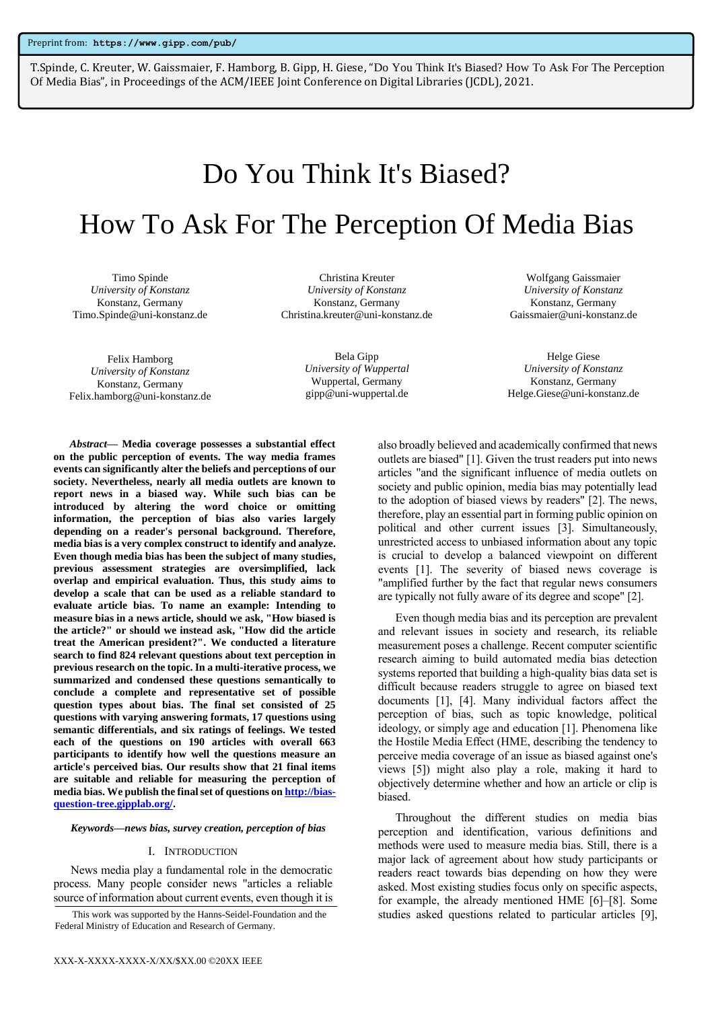T.Spinde, C. Kreuter, W. Gaissmaier, F. Hamborg, B. Gipp, H. Giese, "Do You Think It's Biased? How To Ask For The Perception Of Media Bias", in Proceedings of the ACM/IEEE Joint Conference on Digital Libraries (JCDL), 2021.

# Do You Think It's Biased?

# How To Ask For The Perception Of Media Bias

Timo Spinde *University of Konstanz* Konstanz, Germany Timo.Spinde@uni-konstanz.de

Christina Kreuter *University of Konstanz* Konstanz, Germany Christina.kreuter@uni-konstanz.de

> Bela Gipp *University of Wuppertal* Wuppertal, Germany

gipp@uni-wuppertal.de

Wolfgang Gaissmaier *University of Konstanz* Konstanz, Germany Gaissmaier@uni-konstanz.de

Helge Giese *University of Konstanz* Konstanz, Germany Helge.Giese@uni-konstanz.de

Felix Hamborg *University of Konstanz* Konstanz, Germany Felix.hamborg@uni-konstanz.de

*Abstract***— Media coverage possesses a substantial effect on the public perception of events. The way media frames events can significantly alter the beliefs and perceptions of our society. Nevertheless, nearly all media outlets are known to report news in a biased way. While such bias can be introduced by altering the word choice or omitting information, the perception of bias also varies largely depending on a reader's personal background. Therefore, media bias is a very complex construct to identify and analyze. Even though media bias has been the subject of many studies, previous assessment strategies are oversimplified, lack overlap and empirical evaluation. Thus, this study aims to develop a scale that can be used as a reliable standard to evaluate article bias. To name an example: Intending to measure bias in a news article, should we ask, "How biased is the article?" or should we instead ask, "How did the article treat the American president?". We conducted a literature search to find 824 relevant questions about text perception in previous research on the topic. In a multi-iterative process, we summarized and condensed these questions semantically to conclude a complete and representative set of possible question types about bias. The final set consisted of 25 questions with varying answering formats, 17 questions using semantic differentials, and six ratings of feelings. We tested each of the questions on 190 articles with overall 663 participants to identify how well the questions measure an article's perceived bias. Our results show that 21 final items are suitable and reliable for measuring the perception of media bias. We publish the final set of questions o[n http://bias](http://bias-question-tree.gipplab.org/)[question-tree.gipplab.org/.](http://bias-question-tree.gipplab.org/)** 

#### *Keywords—news bias, survey creation, perception of bias*

#### I. INTRODUCTION

News media play a fundamental role in the democratic process. Many people consider news "articles a reliable source of information about current events, even though it is also broadly believed and academically confirmed that news outlets are biased" [1]. Given the trust readers put into news articles "and the significant influence of media outlets on society and public opinion, media bias may potentially lead to the adoption of biased views by readers" [2]. The news, therefore, play an essential part in forming public opinion on political and other current issues [3]. Simultaneously, unrestricted access to unbiased information about any topic is crucial to develop a balanced viewpoint on different events [1]. The severity of biased news coverage is "amplified further by the fact that regular news consumers are typically not fully aware of its degree and scope" [2].

Even though media bias and its perception are prevalent and relevant issues in society and research, its reliable measurement poses a challenge. Recent computer scientific research aiming to build automated media bias detection systems reported that building a high-quality bias data set is difficult because readers struggle to agree on biased text documents [1], [4]. Many individual factors affect the perception of bias, such as topic knowledge, political ideology, or simply age and education [1]. Phenomena like the Hostile Media Effect (HME, describing the tendency to perceive media coverage of an issue as biased against one's views [5]) might also play a role, making it hard to objectively determine whether and how an article or clip is biased.

Throughout the different studies on media bias perception and identification, various definitions and methods were used to measure media bias. Still, there is a major lack of agreement about how study participants or readers react towards bias depending on how they were asked. Most existing studies focus only on specific aspects, for example, the already mentioned HME [6]–[8]. Some This work was supported by the Hanns-Seidel-Foundation and the studies asked questions related to particular articles [9],

Federal Ministry of Education and Research of Germany.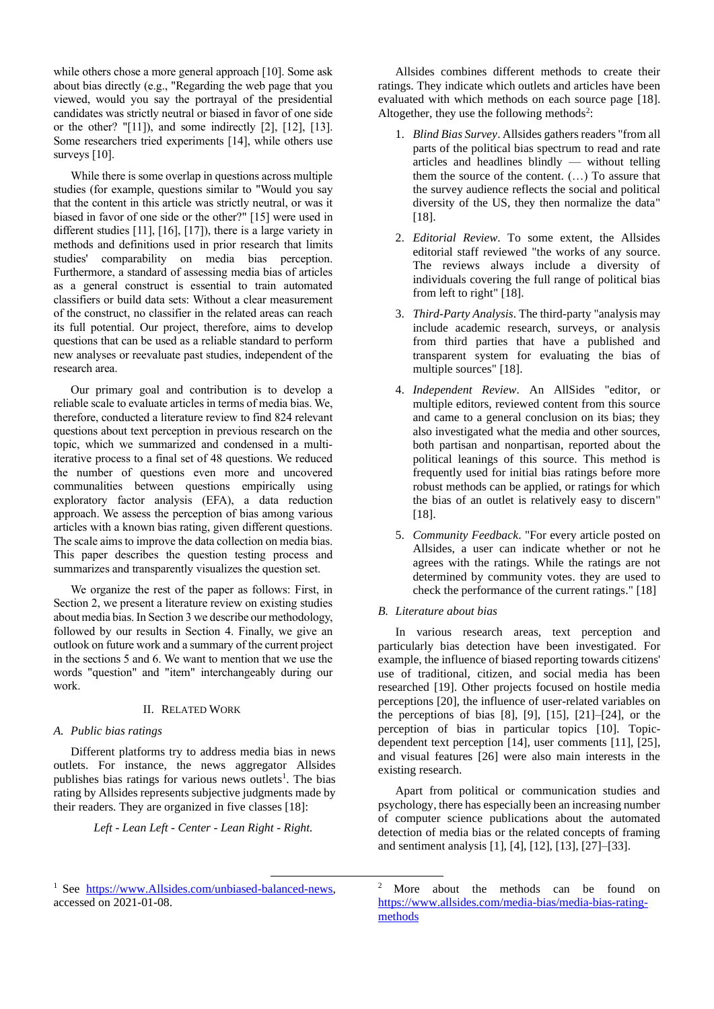while others chose a more general approach [10]. Some ask about bias directly (e.g., "Regarding the web page that you viewed, would you say the portrayal of the presidential candidates was strictly neutral or biased in favor of one side or the other? "[11]), and some indirectly [2], [12], [13]. Some researchers tried experiments [14], while others use surveys [10].

While there is some overlap in questions across multiple studies (for example, questions similar to "Would you say that the content in this article was strictly neutral, or was it biased in favor of one side or the other?" [15] were used in different studies [11], [16], [17]), there is a large variety in methods and definitions used in prior research that limits studies' comparability on media bias perception. Furthermore, a standard of assessing media bias of articles as a general construct is essential to train automated classifiers or build data sets: Without a clear measurement of the construct, no classifier in the related areas can reach its full potential. Our project, therefore, aims to develop questions that can be used as a reliable standard to perform new analyses or reevaluate past studies, independent of the research area.

Our primary goal and contribution is to develop a reliable scale to evaluate articles in terms of media bias. We, therefore, conducted a literature review to find 824 relevant questions about text perception in previous research on the topic, which we summarized and condensed in a multiiterative process to a final set of 48 questions. We reduced the number of questions even more and uncovered communalities between questions empirically using exploratory factor analysis (EFA), a data reduction approach. We assess the perception of bias among various articles with a known bias rating, given different questions. The scale aims to improve the data collection on media bias. This paper describes the question testing process and summarizes and transparently visualizes the question set.

We organize the rest of the paper as follows: First, in Section 2, we present a literature review on existing studies about media bias. In Section 3 we describe our methodology, followed by our results in Section 4. Finally, we give an outlook on future work and a summary of the current project in the sections 5 and 6. We want to mention that we use the words "question" and "item" interchangeably during our work.

# II. RELATED WORK

# *A. Public bias ratings*

Different platforms try to address media bias in news outlets. For instance, the news aggregator Allsides publishes bias ratings for various news outlets<sup>1</sup>. The bias rating by Allsides represents subjective judgments made by their readers. They are organized in five classes [18]:

*Left - Lean Left - Center - Lean Right - Right.*

Allsides combines different methods to create their ratings. They indicate which outlets and articles have been evaluated with which methods on each source page [18]. Altogether, they use the following methods<sup>2</sup>:

- 1. *Blind Bias Survey*. Allsides gathers readers "from all parts of the political bias spectrum to read and rate articles and headlines blindly — without telling them the source of the content. (…) To assure that the survey audience reflects the social and political diversity of the US, they then normalize the data" [18].
- 2. *Editorial Review*. To some extent, the Allsides editorial staff reviewed "the works of any source. The reviews always include a diversity of individuals covering the full range of political bias from left to right" [18].
- 3. *Third-Party Analysis*. The third-party "analysis may include academic research, surveys, or analysis from third parties that have a published and transparent system for evaluating the bias of multiple sources" [18].
- 4. *Independent Review*. An AllSides "editor, or multiple editors, reviewed content from this source and came to a general conclusion on its bias; they also investigated what the media and other sources, both partisan and nonpartisan, reported about the political leanings of this source. This method is frequently used for initial bias ratings before more robust methods can be applied, or ratings for which the bias of an outlet is relatively easy to discern" [18].
- 5. *Community Feedback*. "For every article posted on Allsides, a user can indicate whether or not he agrees with the ratings. While the ratings are not determined by community votes. they are used to check the performance of the current ratings." [18]

# *B. Literature about bias*

In various research areas, text perception and particularly bias detection have been investigated. For example, the influence of biased reporting towards citizens' use of traditional, citizen, and social media has been researched [19]. Other projects focused on hostile media perceptions [20], the influence of user-related variables on the perceptions of bias  $[8]$ ,  $[9]$ ,  $[15]$ ,  $[21]$ – $[24]$ , or the perception of bias in particular topics [10]. Topicdependent text perception [14], user comments [11], [25], and visual features [26] were also main interests in the existing research.

Apart from political or communication studies and psychology, there has especially been an increasing number of computer science publications about the automated detection of media bias or the related concepts of framing and sentiment analysis [1], [4], [12], [13], [27]–[33].

<sup>&</sup>lt;sup>1</sup> See [https://www.Allsides.com/unbiased-balanced-news,](https://www.allsides.com/unbiased-balanced-news) accessed on 2021-01-08.

<sup>2</sup> More about the methods can be found on [https://www.allsides.com/media-bias/media-bias-rating](https://www.allsides.com/media-bias/media-bias-rating-methods)[methods](https://www.allsides.com/media-bias/media-bias-rating-methods)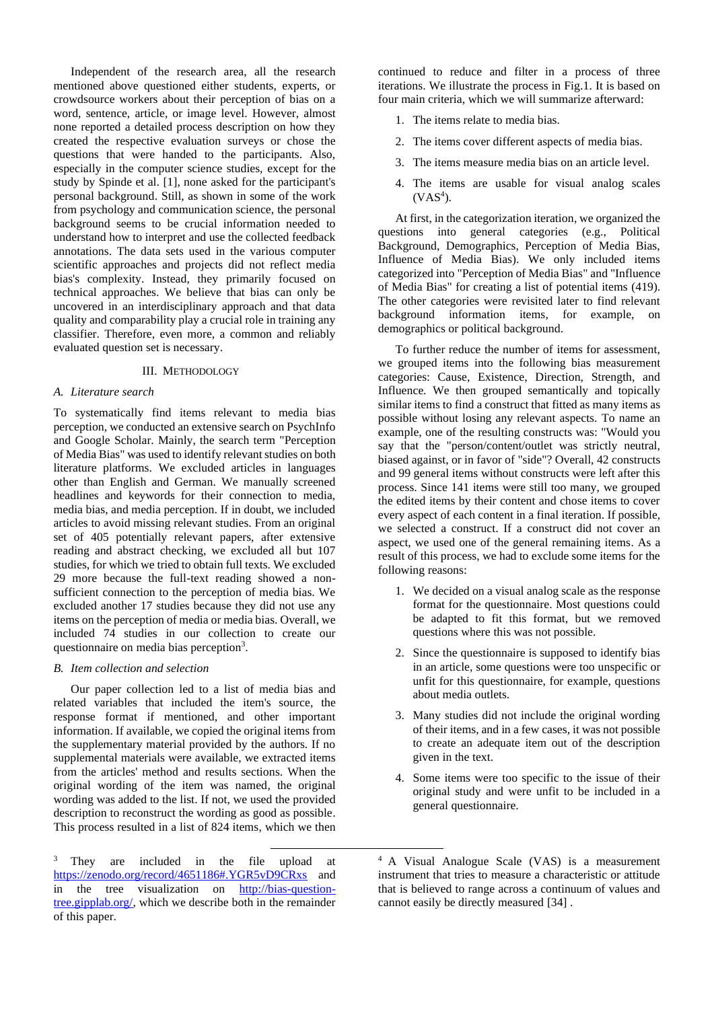Independent of the research area, all the research mentioned above questioned either students, experts, or crowdsource workers about their perception of bias on a word, sentence, article, or image level. However, almost none reported a detailed process description on how they created the respective evaluation surveys or chose the questions that were handed to the participants. Also, especially in the computer science studies, except for the study by Spinde et al. [1], none asked for the participant's personal background. Still, as shown in some of the work from psychology and communication science, the personal background seems to be crucial information needed to understand how to interpret and use the collected feedback annotations. The data sets used in the various computer scientific approaches and projects did not reflect media bias's complexity. Instead, they primarily focused on technical approaches. We believe that bias can only be uncovered in an interdisciplinary approach and that data quality and comparability play a crucial role in training any classifier. Therefore, even more, a common and reliably evaluated question set is necessary.

## III. METHODOLOGY

# *A. Literature search*

To systematically find items relevant to media bias perception, we conducted an extensive search on PsychInfo and Google Scholar. Mainly, the search term "Perception of Media Bias" was used to identify relevant studies on both literature platforms. We excluded articles in languages other than English and German. We manually screened headlines and keywords for their connection to media, media bias, and media perception. If in doubt, we included articles to avoid missing relevant studies. From an original set of 405 potentially relevant papers, after extensive reading and abstract checking, we excluded all but 107 studies, for which we tried to obtain full texts. We excluded 29 more because the full-text reading showed a nonsufficient connection to the perception of media bias. We excluded another 17 studies because they did not use any items on the perception of media or media bias. Overall, we included 74 studies in our collection to create our questionnaire on media bias perception<sup>3</sup>.

# *B. Item collection and selection*

Our paper collection led to a list of media bias and related variables that included the item's source, the response format if mentioned, and other important information. If available, we copied the original items from the supplementary material provided by the authors. If no supplemental materials were available, we extracted items from the articles' method and results sections. When the original wording of the item was named, the original wording was added to the list. If not, we used the provided description to reconstruct the wording as good as possible. This process resulted in a list of 824 items, which we then continued to reduce and filter in a process of three iterations. We illustrate the process in Fig.1. It is based on four main criteria, which we will summarize afterward:

- 1. The items relate to media bias.
- 2. The items cover different aspects of media bias.
- 3. The items measure media bias on an article level.
- 4. The items are usable for visual analog scales  $(VAS<sup>4</sup>)$ .

At first, in the categorization iteration, we organized the questions into general categories (e.g., Political Background, Demographics, Perception of Media Bias, Influence of Media Bias). We only included items categorized into "Perception of Media Bias" and "Influence of Media Bias" for creating a list of potential items (419). The other categories were revisited later to find relevant background information items, for example, on demographics or political background.

To further reduce the number of items for assessment, we grouped items into the following bias measurement categories: Cause, Existence, Direction, Strength, and Influence. We then grouped semantically and topically similar items to find a construct that fitted as many items as possible without losing any relevant aspects. To name an example, one of the resulting constructs was: "Would you say that the "person/content/outlet was strictly neutral, biased against, or in favor of "side"? Overall, 42 constructs and 99 general items without constructs were left after this process. Since 141 items were still too many, we grouped the edited items by their content and chose items to cover every aspect of each content in a final iteration. If possible, we selected a construct. If a construct did not cover an aspect, we used one of the general remaining items. As a result of this process, we had to exclude some items for the following reasons:

- 1. We decided on a visual analog scale as the response format for the questionnaire. Most questions could be adapted to fit this format, but we removed questions where this was not possible.
- 2. Since the questionnaire is supposed to identify bias in an article, some questions were too unspecific or unfit for this questionnaire, for example, questions about media outlets.
- 3. Many studies did not include the original wording of their items, and in a few cases, it was not possible to create an adequate item out of the description given in the text.
- 4. Some items were too specific to the issue of their original study and were unfit to be included in a general questionnaire.

<sup>&</sup>lt;sup>3</sup> They are included in the file upload at <https://zenodo.org/record/4651186#.YGR5vD9CRxs> and in the tree visualization on [http://bias-question](http://bias-question-tree.gipplab.org/)[tree.gipplab.org/,](http://bias-question-tree.gipplab.org/) which we describe both in the remainder of this paper.

<sup>4</sup> A Visual Analogue Scale (VAS) is a measurement instrument that tries to measure a characteristic or attitude that is believed to range across a continuum of values and cannot easily be directly measured [34] .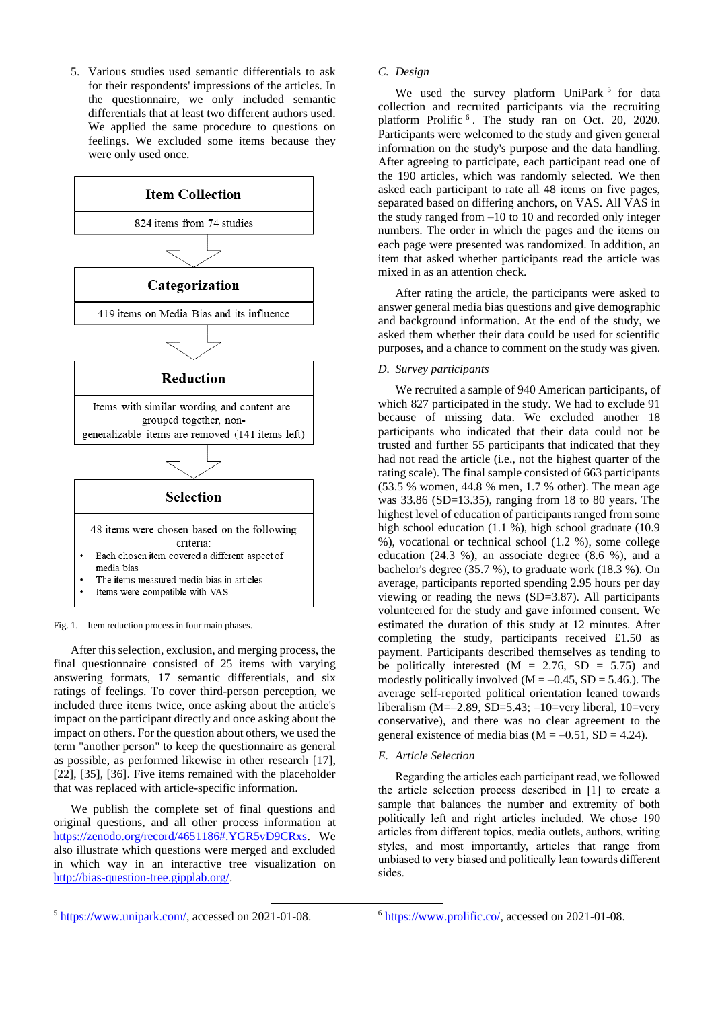5. Various studies used semantic differentials to ask for their respondents' impressions of the articles. In the questionnaire, we only included semantic differentials that at least two different authors used. We applied the same procedure to questions on feelings. We excluded some items because they were only used once.



Fig. 1. Item reduction process in four main phases.

After this selection, exclusion, and merging process, the final questionnaire consisted of 25 items with varying answering formats, 17 semantic differentials, and six ratings of feelings. To cover third-person perception, we included three items twice, once asking about the article's impact on the participant directly and once asking about the impact on others. For the question about others, we used the term "another person" to keep the questionnaire as general as possible, as performed likewise in other research [17], [22], [35], [36]. Five items remained with the placeholder that was replaced with article-specific information.

We publish the complete set of final questions and original questions, and all other process information at [https://zenodo.org/record/4651186#.YGR5vD9CRxs.](https://zenodo.org/record/4651186#.YGR5vD9CRxs) We also illustrate which questions were merged and excluded in which way in an interactive tree visualization on [http://bias-question-tree.gipplab.org/.](http://bias-question-tree.gipplab.org/)

# *C. Design*

We used the survey platform UniPark<sup>5</sup> for data collection and recruited participants via the recruiting platform Prolific <sup>6</sup>. The study ran on Oct. 20, 2020. Participants were welcomed to the study and given general information on the study's purpose and the data handling. After agreeing to participate, each participant read one of the 190 articles, which was randomly selected. We then asked each participant to rate all 48 items on five pages, separated based on differing anchors, on VAS. All VAS in the study ranged from –10 to 10 and recorded only integer numbers. The order in which the pages and the items on each page were presented was randomized. In addition, an item that asked whether participants read the article was mixed in as an attention check.

After rating the article, the participants were asked to answer general media bias questions and give demographic and background information. At the end of the study, we asked them whether their data could be used for scientific purposes, and a chance to comment on the study was given.

# *D. Survey participants*

We recruited a sample of 940 American participants, of which 827 participated in the study. We had to exclude 91 because of missing data. We excluded another 18 participants who indicated that their data could not be trusted and further 55 participants that indicated that they had not read the article (i.e., not the highest quarter of the rating scale). The final sample consisted of 663 participants (53.5 % women, 44.8 % men, 1.7 % other). The mean age was 33.86 (SD=13.35), ranging from 18 to 80 years. The highest level of education of participants ranged from some high school education (1.1 %), high school graduate (10.9 %), vocational or technical school (1.2 %), some college education (24.3 %), an associate degree (8.6 %), and a bachelor's degree (35.7 %), to graduate work (18.3 %). On average, participants reported spending 2.95 hours per day viewing or reading the news (SD=3.87). All participants volunteered for the study and gave informed consent. We estimated the duration of this study at 12 minutes. After completing the study, participants received £1.50 as payment. Participants described themselves as tending to be politically interested  $(M = 2.76, SD = 5.75)$  and modestly politically involved  $(M = -0.45, SD = 5.46)$ . The average self-reported political orientation leaned towards liberalism (M= $-2.89$ , SD=5.43;  $-10$ =very liberal, 10=very conservative), and there was no clear agreement to the general existence of media bias ( $M = -0.51$ ,  $SD = 4.24$ ).

### *E. Article Selection*

Regarding the articles each participant read, we followed the article selection process described in [1] to create a sample that balances the number and extremity of both politically left and right articles included. We chose 190 articles from different topics, media outlets, authors, writing styles, and most importantly, articles that range from unbiased to very biased and politically lean towards different sides.

<sup>5</sup> [https://www.unipark.com/,](https://www.unipark.com/) accessed on 2021-01-08.

<sup>6</sup> [https://www.prolific.co/,](https://www.prolific.co/) accessed on 2021-01-08.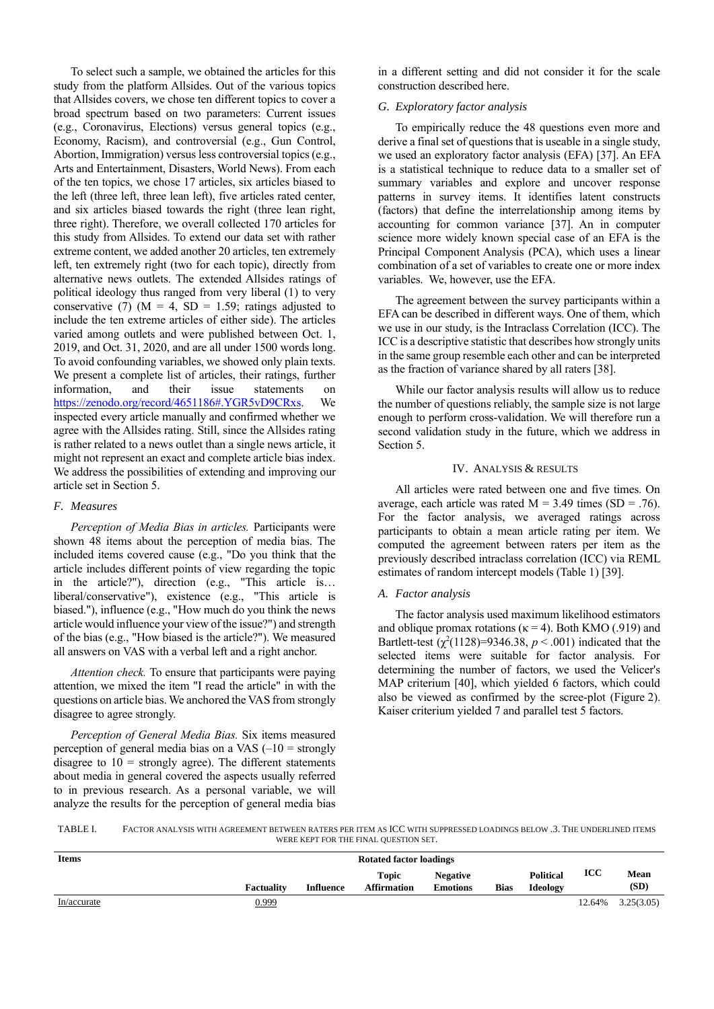To select such a sample, we obtained the articles for this study from the platform Allsides. Out of the various topics that Allsides covers, we chose ten different topics to cover a broad spectrum based on two parameters: Current issues (e.g., Coronavirus, Elections) versus general topics (e.g., Economy, Racism), and controversial (e.g., Gun Control, Abortion, Immigration) versus less controversial topics (e.g., Arts and Entertainment, Disasters, World News). From each of the ten topics, we chose 17 articles, six articles biased to the left (three left, three lean left), five articles rated center, and six articles biased towards the right (three lean right, three right). Therefore, we overall collected 170 articles for this study from Allsides. To extend our data set with rather extreme content, we added another 20 articles, ten extremely left, ten extremely right (two for each topic), directly from alternative news outlets. The extended Allsides ratings of political ideology thus ranged from very liberal (1) to very conservative (7) ( $M = 4$ , SD = 1.59; ratings adjusted to include the ten extreme articles of either side). The articles varied among outlets and were published between Oct. 1, 2019, and Oct. 31, 2020, and are all under 1500 words long. To avoid confounding variables, we showed only plain texts. We present a complete list of articles, their ratings, further information, and their issue statements on [https://zenodo.org/record/4651186#.YGR5vD9CRxs.](https://zenodo.org/record/4651186#.YGR5vD9CRxs) We inspected every article manually and confirmed whether we agree with the Allsides rating. Still, since the Allsides rating is rather related to a news outlet than a single news article, it might not represent an exact and complete article bias index. We address the possibilities of extending and improving our article set in Section 5.

# *F. Measures*

*Perception of Media Bias in articles.* Participants were shown 48 items about the perception of media bias. The included items covered cause (e.g., "Do you think that the article includes different points of view regarding the topic in the article?"), direction (e.g., "This article is… liberal/conservative"), existence (e.g., "This article is biased."), influence (e.g., "How much do you think the news article would influence your view of the issue?") and strength of the bias (e.g., "How biased is the article?"). We measured all answers on VAS with a verbal left and a right anchor.

*Attention check.* To ensure that participants were paying attention, we mixed the item "I read the article" in with the questions on article bias. We anchored the VAS from strongly disagree to agree strongly.

*Perception of General Media Bias.* Six items measured perception of general media bias on a VAS  $(-10 =$  strongly disagree to  $10 =$  strongly agree). The different statements about media in general covered the aspects usually referred to in previous research. As a personal variable, we will analyze the results for the perception of general media bias

in a different setting and did not consider it for the scale construction described here.

## *G. Exploratory factor analysis*

To empirically reduce the 48 questions even more and derive a final set of questions that is useable in a single study, we used an exploratory factor analysis (EFA) [37]. An EFA is a statistical technique to reduce data to a smaller set of summary variables and explore and uncover response patterns in survey items. It identifies latent constructs (factors) that define the interrelationship among items by accounting for common variance [37]. An in computer science more widely known special case of an EFA is the Principal Component Analysis (PCA), which uses a linear combination of a set of variables to create one or more index variables. We, however, use the EFA.

The agreement between the survey participants within a EFA can be described in different ways. One of them, which we use in our study, is the Intraclass Correlation (ICC). The ICC is a descriptive statistic that describes how strongly units in the same group resemble each other and can be interpreted as the fraction of variance shared by all raters [38].

While our factor analysis results will allow us to reduce the number of questions reliably, the sample size is not large enough to perform cross-validation. We will therefore run a second validation study in the future, which we address in Section 5.

# IV. ANALYSIS & RESULTS

All articles were rated between one and five times. On average, each article was rated  $M = 3.49$  times (SD = .76). For the factor analysis, we averaged ratings across participants to obtain a mean article rating per item. We computed the agreement between raters per item as the previously described intraclass correlation (ICC) via REML estimates of random intercept models (Table 1) [39].

## *A. Factor analysis*

The factor analysis used maximum likelihood estimators and oblique promax rotations ( $\kappa$  = 4). Both KMO (.919) and Bartlett-test ( $\chi^2(1128)$ =9346.38, *p* < .001) indicated that the selected items were suitable for factor analysis. For determining the number of factors, we used the Velicer's MAP criterium [40], which yielded 6 factors, which could also be viewed as confirmed by the scree-plot (Figure 2). Kaiser criterium yielded 7 and parallel test 5 factors.

TABLE I. FACTOR ANALYSIS WITH AGREEMENT BETWEEN RATERS PER ITEM AS ICC WITH SUPPRESSED LOADINGS BELOW .3. THE UNDERLINED ITEMS WERE KEPT FOR THE FINAL QUESTION SET.

| <b>Items</b> | <b>Rotated factor loadings</b> |                  |                                    |                                    |             |                              |        |              |
|--------------|--------------------------------|------------------|------------------------------------|------------------------------------|-------------|------------------------------|--------|--------------|
|              | <b>Factuality</b>              | <b>Influence</b> | <b>Topic</b><br><b>Affirmation</b> | <b>Negative</b><br><b>Emotions</b> | <b>Bias</b> | <b>Political</b><br>Ideology | ICC    | Mean<br>(SD) |
| In/accurate  | 0.999                          |                  |                                    |                                    |             |                              | 12.64% | 3.25(3.05)   |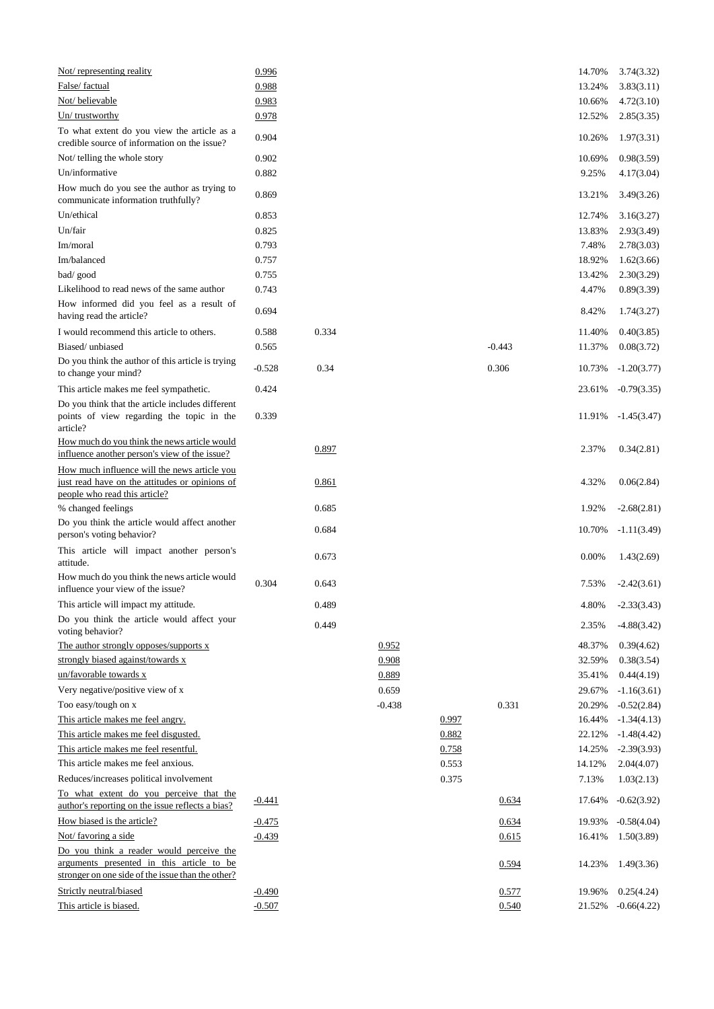| Not/representing reality                                                                                                                   | 0.996    |       |          |       |          | 14.70% | 3.74(3.32)    |
|--------------------------------------------------------------------------------------------------------------------------------------------|----------|-------|----------|-------|----------|--------|---------------|
| False/ factual                                                                                                                             | 0.988    |       |          |       |          | 13.24% | 3.83(3.11)    |
| Not/believable                                                                                                                             | 0.983    |       |          |       |          | 10.66% | 4.72(3.10)    |
| Un/trustworthy                                                                                                                             | 0.978    |       |          |       |          | 12.52% | 2.85(3.35)    |
| To what extent do you view the article as a<br>credible source of information on the issue?                                                | 0.904    |       |          |       |          | 10.26% | 1.97(3.31)    |
| Not/ telling the whole story                                                                                                               | 0.902    |       |          |       |          | 10.69% | 0.98(3.59)    |
| Un/informative                                                                                                                             | 0.882    |       |          |       |          | 9.25%  | 4.17(3.04)    |
| How much do you see the author as trying to<br>communicate information truthfully?                                                         | 0.869    |       |          |       |          | 13.21% | 3.49(3.26)    |
| Un/ethical                                                                                                                                 | 0.853    |       |          |       |          | 12.74% | 3.16(3.27)    |
| Un/fair                                                                                                                                    | 0.825    |       |          |       |          | 13.83% | 2.93(3.49)    |
| Im/moral                                                                                                                                   | 0.793    |       |          |       |          | 7.48%  | 2.78(3.03)    |
| Im/balanced                                                                                                                                | 0.757    |       |          |       |          | 18.92% | 1.62(3.66)    |
| bad/good                                                                                                                                   | 0.755    |       |          |       |          | 13.42% | 2.30(3.29)    |
| Likelihood to read news of the same author                                                                                                 | 0.743    |       |          |       |          | 4.47%  | 0.89(3.39)    |
| How informed did you feel as a result of<br>having read the article?                                                                       | 0.694    |       |          |       |          | 8.42%  | 1.74(3.27)    |
| I would recommend this article to others.                                                                                                  | 0.588    | 0.334 |          |       |          | 11.40% | 0.40(3.85)    |
| Biased/unbiased                                                                                                                            | 0.565    |       |          |       | $-0.443$ | 11.37% | 0.08(3.72)    |
| Do you think the author of this article is trying<br>to change your mind?                                                                  | $-0.528$ | 0.34  |          |       | 0.306    | 10.73% | $-1.20(3.77)$ |
| This article makes me feel sympathetic.                                                                                                    | 0.424    |       |          |       |          | 23.61% | $-0.79(3.35)$ |
| Do you think that the article includes different<br>points of view regarding the topic in the                                              | 0.339    |       |          |       |          | 11.91% | $-1.45(3.47)$ |
| article?                                                                                                                                   |          |       |          |       |          |        |               |
| How much do you think the news article would<br>influence another person's view of the issue?                                              |          | 0.897 |          |       |          | 2.37%  | 0.34(2.81)    |
| How much influence will the news article you<br>just read have on the attitudes or opinions of                                             |          | 0.861 |          |       |          | 4.32%  | 0.06(2.84)    |
| people who read this article?<br>% changed feelings                                                                                        |          | 0.685 |          |       |          | 1.92%  | $-2.68(2.81)$ |
| Do you think the article would affect another<br>person's voting behavior?                                                                 |          | 0.684 |          |       |          | 10.70% | $-1.11(3.49)$ |
| This article will impact another person's<br>attitude.                                                                                     |          | 0.673 |          |       |          | 0.00%  | 1.43(2.69)    |
| How much do you think the news article would<br>influence your view of the issue?                                                          | 0.304    | 0.643 |          |       |          | 7.53%  | $-2.42(3.61)$ |
| This article will impact my attitude.                                                                                                      |          | 0.489 |          |       |          | 4.80%  | $-2.33(3.43)$ |
| Do you think the article would affect your<br>voting behavior?                                                                             |          | 0.449 |          |       |          | 2.35%  | $-4.88(3.42)$ |
| The author strongly opposes/supports $x$                                                                                                   |          |       | 0.952    |       |          | 48.37% | 0.39(4.62)    |
| strongly biased against/towards x                                                                                                          |          |       | 0.908    |       |          | 32.59% | 0.38(3.54)    |
| un/favorable towards x                                                                                                                     |          |       | 0.889    |       |          | 35.41% | 0.44(4.19)    |
| Very negative/positive view of x                                                                                                           |          |       | 0.659    |       |          | 29.67% | $-1.16(3.61)$ |
| Too easy/tough on x                                                                                                                        |          |       | $-0.438$ |       | 0.331    | 20.29% | $-0.52(2.84)$ |
| This article makes me feel angry.                                                                                                          |          |       |          | 0.997 |          | 16.44% | $-1.34(4.13)$ |
| This article makes me feel disgusted.                                                                                                      |          |       |          | 0.882 |          | 22.12% | $-1.48(4.42)$ |
| This article makes me feel resentful.                                                                                                      |          |       |          | 0.758 |          | 14.25% | $-2.39(3.93)$ |
| This article makes me feel anxious.                                                                                                        |          |       |          | 0.553 |          | 14.12% | 2.04(4.07)    |
| Reduces/increases political involvement                                                                                                    |          |       |          | 0.375 |          | 7.13%  | 1.03(2.13)    |
| To what extent do you perceive that the<br>author's reporting on the issue reflects a bias?                                                | $-0.441$ |       |          |       | 0.634    | 17.64% | $-0.62(3.92)$ |
| How biased is the article?                                                                                                                 | $-0.475$ |       |          |       | 0.634    | 19.93% | $-0.58(4.04)$ |
| Not/ favoring a side                                                                                                                       | $-0.439$ |       |          |       | 0.615    | 16.41% | 1.50(3.89)    |
| Do you think a reader would perceive the<br>arguments presented in this article to be<br>stronger on one side of the issue than the other? |          |       |          |       | 0.594    | 14.23% | 1.49(3.36)    |
| Strictly neutral/biased                                                                                                                    | $-0.490$ |       |          |       | 0.577    | 19.96% | 0.25(4.24)    |
| This article is biased.                                                                                                                    | $-0.507$ |       |          |       | 0.540    | 21.52% | $-0.66(4.22)$ |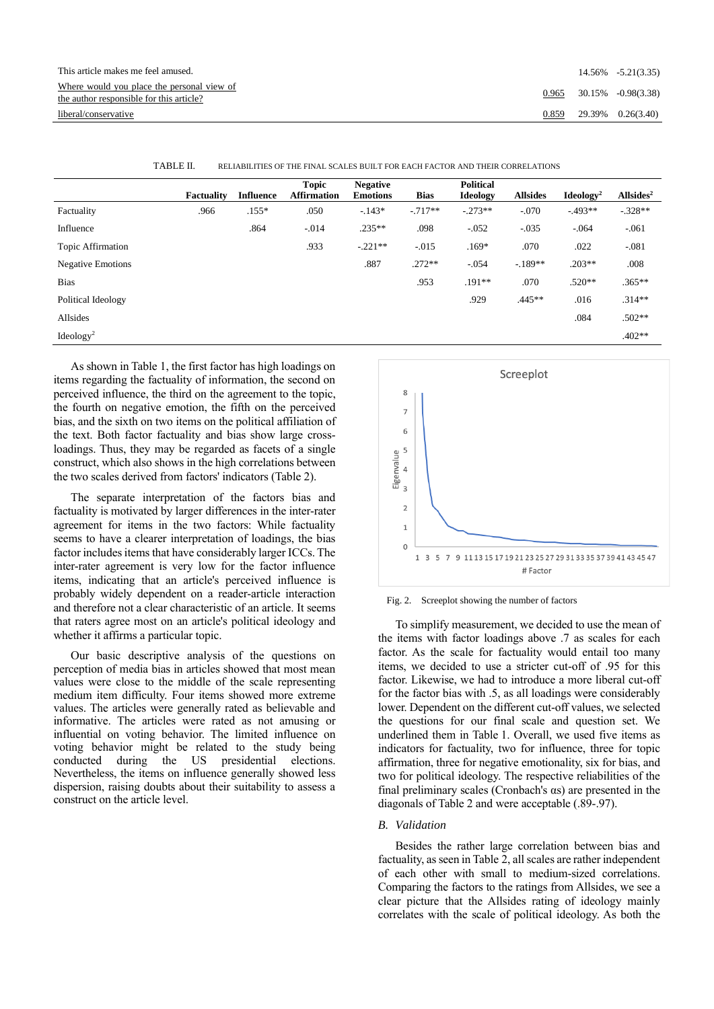| This article makes me feel amused.                                                     |       | $14.56\% -5.21(3.35)$ |
|----------------------------------------------------------------------------------------|-------|-----------------------|
| Where would you place the personal view of<br>the author responsible for this article? | 0.965 | 30.15% -0.98(3.38)    |
| liberal/conservative                                                                   | 0.859 | 29.39% 0.26(3.40)     |

|                          | <b>Factuality</b> | <b>Influence</b> | <b>Topic</b><br><b>Affirmation</b> | <b>Negative</b><br><b>Emotions</b> | <b>Bias</b> | <b>Political</b><br>Ideology | <b>Allsides</b> | Ideology <sup>2</sup> | Allsides <sup>2</sup> |
|--------------------------|-------------------|------------------|------------------------------------|------------------------------------|-------------|------------------------------|-----------------|-----------------------|-----------------------|
| Factuality               | .966              | $.155*$          | .050                               | $-143*$                            | $-.717**$   | $-.273**$                    | $-.070$         | $-493**$              | $-.328**$             |
| Influence                |                   | .864             | $-.014$                            | $.235***$                          | .098        | $-.052$                      | $-.035$         | $-.064$               | $-061$                |
| Topic Affirmation        |                   |                  | .933                               | $-.221**$                          | $-.015$     | $.169*$                      | .070            | .022                  | $-081$                |
| <b>Negative Emotions</b> |                   |                  |                                    | .887                               | $.272**$    | $-.054$                      | $-.189**$       | $.203**$              | .008                  |
| <b>Bias</b>              |                   |                  |                                    |                                    | .953        | $.191**$                     | .070            | $.520**$              | $.365**$              |
| Political Ideology       |                   |                  |                                    |                                    |             | .929                         | $.445**$        | .016                  | $.314**$              |
| Allsides                 |                   |                  |                                    |                                    |             |                              |                 | .084                  | .502**                |
| Ideology <sup>2</sup>    |                   |                  |                                    |                                    |             |                              |                 |                       | $.402**$              |

TABLE II. RELIABILITIES OF THE FINAL SCALES BUILT FOR EACH FACTOR AND THEIR CORRELATIONS

As shown in Table 1, the first factor has high loadings on items regarding the factuality of information, the second on perceived influence, the third on the agreement to the topic, the fourth on negative emotion, the fifth on the perceived bias, and the sixth on two items on the political affiliation of the text. Both factor factuality and bias show large crossloadings. Thus, they may be regarded as facets of a single construct, which also shows in the high correlations between the two scales derived from factors' indicators (Table 2).

The separate interpretation of the factors bias and factuality is motivated by larger differences in the inter-rater agreement for items in the two factors: While factuality seems to have a clearer interpretation of loadings, the bias factor includes items that have considerably larger ICCs. The inter-rater agreement is very low for the factor influence items, indicating that an article's perceived influence is probably widely dependent on a reader-article interaction and therefore not a clear characteristic of an article. It seems that raters agree most on an article's political ideology and whether it affirms a particular topic.

Our basic descriptive analysis of the questions on perception of media bias in articles showed that most mean values were close to the middle of the scale representing medium item difficulty. Four items showed more extreme values. The articles were generally rated as believable and informative. The articles were rated as not amusing or influential on voting behavior. The limited influence on voting behavior might be related to the study being conducted during the US presidential elections. Nevertheless, the items on influence generally showed less dispersion, raising doubts about their suitability to assess a construct on the article level.



Fig. 2. Screeplot showing the number of factors

To simplify measurement, we decided to use the mean of the items with factor loadings above .7 as scales for each factor. As the scale for factuality would entail too many items, we decided to use a stricter cut-off of .95 for this factor. Likewise, we had to introduce a more liberal cut-off for the factor bias with .5, as all loadings were considerably lower. Dependent on the different cut-off values, we selected the questions for our final scale and question set. We underlined them in Table 1. Overall, we used five items as indicators for factuality, two for influence, three for topic affirmation, three for negative emotionality, six for bias, and two for political ideology. The respective reliabilities of the final preliminary scales (Cronbach's αs) are presented in the diagonals of Table 2 and were acceptable (.89-.97).

# *B. Validation*

Besides the rather large correlation between bias and factuality, as seen in Table 2, all scales are rather independent of each other with small to medium-sized correlations. Comparing the factors to the ratings from Allsides, we see a clear picture that the Allsides rating of ideology mainly correlates with the scale of political ideology. As both the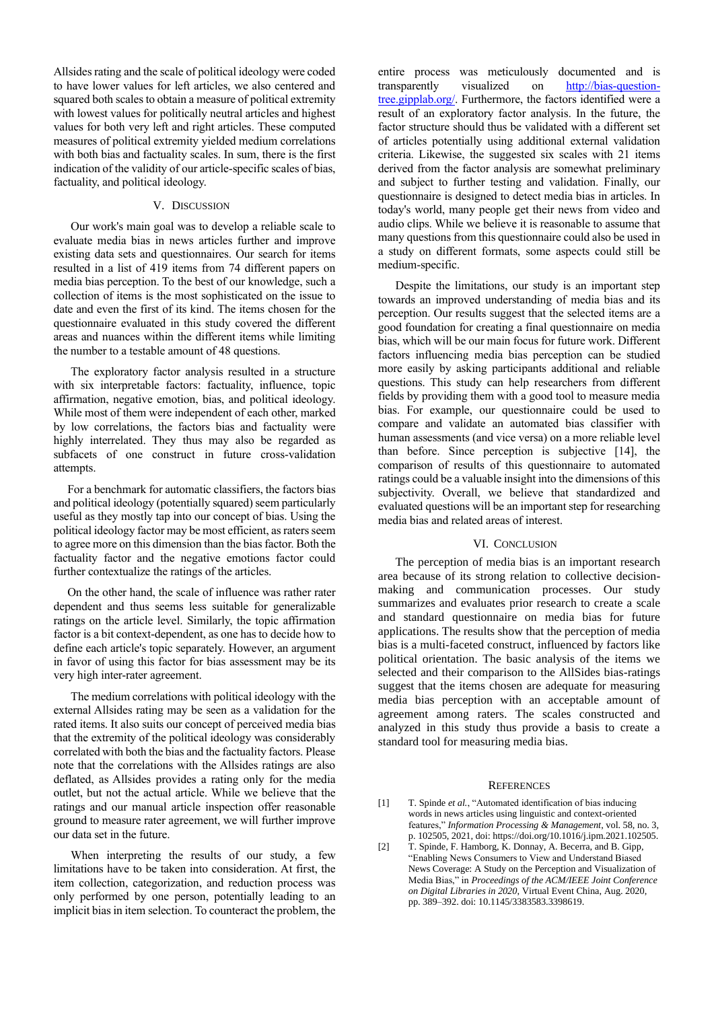Allsides rating and the scale of political ideology were coded to have lower values for left articles, we also centered and squared both scales to obtain a measure of political extremity with lowest values for politically neutral articles and highest values for both very left and right articles. These computed measures of political extremity yielded medium correlations with both bias and factuality scales. In sum, there is the first indication of the validity of our article-specific scales of bias, factuality, and political ideology.

# V. DISCUSSION

Our work's main goal was to develop a reliable scale to evaluate media bias in news articles further and improve existing data sets and questionnaires. Our search for items resulted in a list of 419 items from 74 different papers on media bias perception. To the best of our knowledge, such a collection of items is the most sophisticated on the issue to date and even the first of its kind. The items chosen for the questionnaire evaluated in this study covered the different areas and nuances within the different items while limiting the number to a testable amount of 48 questions.

The exploratory factor analysis resulted in a structure with six interpretable factors: factuality, influence, topic affirmation, negative emotion, bias, and political ideology. While most of them were independent of each other, marked by low correlations, the factors bias and factuality were highly interrelated. They thus may also be regarded as subfacets of one construct in future cross-validation attempts.

For a benchmark for automatic classifiers, the factors bias and political ideology (potentially squared) seem particularly useful as they mostly tap into our concept of bias. Using the political ideology factor may be most efficient, as raters seem to agree more on this dimension than the bias factor. Both the factuality factor and the negative emotions factor could further contextualize the ratings of the articles.

On the other hand, the scale of influence was rather rater dependent and thus seems less suitable for generalizable ratings on the article level. Similarly, the topic affirmation factor is a bit context-dependent, as one has to decide how to define each article's topic separately. However, an argument in favor of using this factor for bias assessment may be its very high inter-rater agreement.

The medium correlations with political ideology with the external Allsides rating may be seen as a validation for the rated items. It also suits our concept of perceived media bias that the extremity of the political ideology was considerably correlated with both the bias and the factuality factors. Please note that the correlations with the Allsides ratings are also deflated, as Allsides provides a rating only for the media outlet, but not the actual article. While we believe that the ratings and our manual article inspection offer reasonable ground to measure rater agreement, we will further improve our data set in the future.

When interpreting the results of our study, a few limitations have to be taken into consideration. At first, the item collection, categorization, and reduction process was only performed by one person, potentially leading to an implicit bias in item selection. To counteract the problem, the

entire process was meticulously documented and is transparently visualized on [http://bias-question](http://bias-question-tree.gipplab.org/)[tree.gipplab.org/.](http://bias-question-tree.gipplab.org/) Furthermore, the factors identified were a result of an exploratory factor analysis. In the future, the factor structure should thus be validated with a different set of articles potentially using additional external validation criteria. Likewise, the suggested six scales with 21 items derived from the factor analysis are somewhat preliminary and subject to further testing and validation. Finally, our questionnaire is designed to detect media bias in articles. In today's world, many people get their news from video and audio clips. While we believe it is reasonable to assume that many questions from this questionnaire could also be used in a study on different formats, some aspects could still be medium-specific.

Despite the limitations, our study is an important step towards an improved understanding of media bias and its perception. Our results suggest that the selected items are a good foundation for creating a final questionnaire on media bias, which will be our main focus for future work. Different factors influencing media bias perception can be studied more easily by asking participants additional and reliable questions. This study can help researchers from different fields by providing them with a good tool to measure media bias. For example, our questionnaire could be used to compare and validate an automated bias classifier with human assessments (and vice versa) on a more reliable level than before. Since perception is subjective [14], the comparison of results of this questionnaire to automated ratings could be a valuable insight into the dimensions of this subjectivity. Overall, we believe that standardized and evaluated questions will be an important step for researching media bias and related areas of interest.

# VI. CONCLUSION

The perception of media bias is an important research area because of its strong relation to collective decisionmaking and communication processes. Our study summarizes and evaluates prior research to create a scale and standard questionnaire on media bias for future applications. The results show that the perception of media bias is a multi-faceted construct, influenced by factors like political orientation. The basic analysis of the items we selected and their comparison to the AllSides bias-ratings suggest that the items chosen are adequate for measuring media bias perception with an acceptable amount of agreement among raters. The scales constructed and analyzed in this study thus provide a basis to create a standard tool for measuring media bias.

#### **REFERENCES**

- [1] T. Spinde *et al.*, "Automated identification of bias inducing words in news articles using linguistic and context-oriented features," *Information Processing & Management*, vol. 58, no. 3, p. 102505, 2021, doi: https://doi.org/10.1016/j.ipm.2021.102505.
- [2] T. Spinde, F. Hamborg, K. Donnay, A. Becerra, and B. Gipp, "Enabling News Consumers to View and Understand Biased News Coverage: A Study on the Perception and Visualization of Media Bias," in *Proceedings of the ACM/IEEE Joint Conference on Digital Libraries in 2020*, Virtual Event China, Aug. 2020, pp. 389–392. doi: 10.1145/3383583.3398619.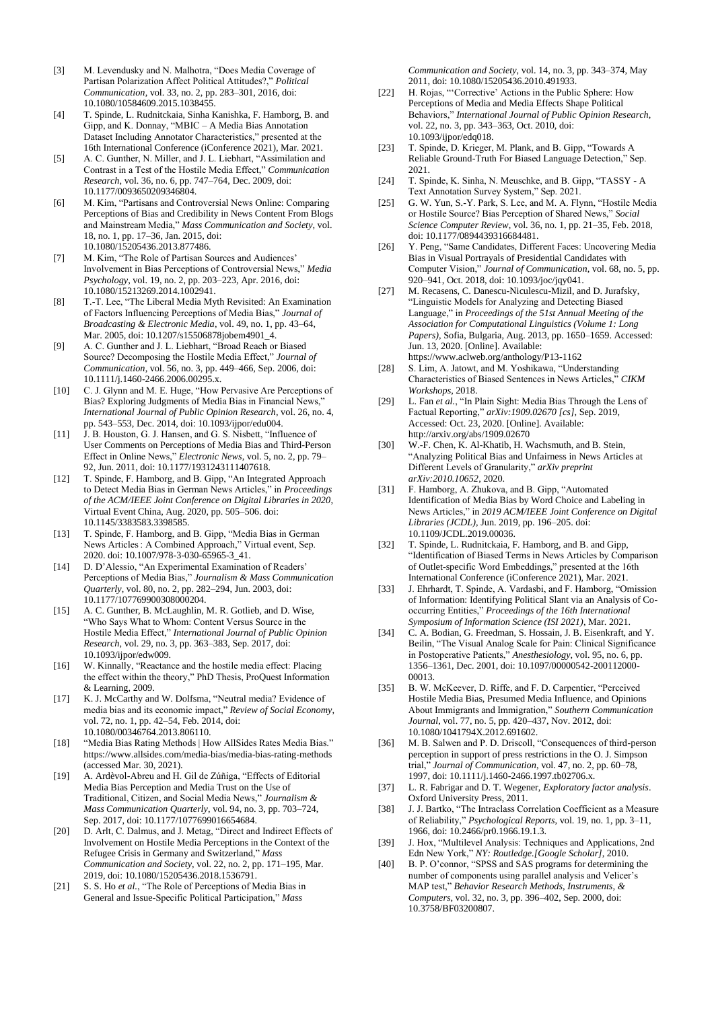- [3] M. Levendusky and N. Malhotra, "Does Media Coverage of Partisan Polarization Affect Political Attitudes?," *Political Communication*, vol. 33, no. 2, pp. 283–301, 2016, doi: 10.1080/10584609.2015.1038455.
- [4] T. Spinde, L. Rudnitckaia, Sinha Kanishka, F. Hamborg, B. and Gipp, and K. Donnay, "MBIC – A Media Bias Annotation Dataset Including Annotator Characteristics," presented at the 16th International Conference (iConference 2021), Mar. 2021.
- [5] A. C. Gunther, N. Miller, and J. L. Liebhart, "Assimilation and Contrast in a Test of the Hostile Media Effect," *Communication Research*, vol. 36, no. 6, pp. 747–764, Dec. 2009, doi: 10.1177/0093650209346804.
- [6] M. Kim, "Partisans and Controversial News Online: Comparing Perceptions of Bias and Credibility in News Content From Blogs and Mainstream Media," *Mass Communication and Society*, vol. 18, no. 1, pp. 17–36, Jan. 2015, doi: 10.1080/15205436.2013.877486.
- [7] M. Kim, "The Role of Partisan Sources and Audiences' Involvement in Bias Perceptions of Controversial News," *Media Psychology*, vol. 19, no. 2, pp. 203–223, Apr. 2016, doi: 10.1080/15213269.2014.1002941.
- [8] T.-T. Lee, "The Liberal Media Myth Revisited: An Examination of Factors Influencing Perceptions of Media Bias," *Journal of Broadcasting & Electronic Media*, vol. 49, no. 1, pp. 43–64, Mar. 2005, doi: 10.1207/s15506878jobem4901\_4.
- [9] A. C. Gunther and J. L. Liebhart, "Broad Reach or Biased Source? Decomposing the Hostile Media Effect," *Journal of Communication*, vol. 56, no. 3, pp. 449–466, Sep. 2006, doi: 10.1111/j.1460-2466.2006.00295.x.
- [10] C. J. Glynn and M. E. Huge, "How Pervasive Are Perceptions of Bias? Exploring Judgments of Media Bias in Financial News," *International Journal of Public Opinion Research*, vol. 26, no. 4, pp. 543–553, Dec. 2014, doi: 10.1093/ijpor/edu004.
- [11] J. B. Houston, G. J. Hansen, and G. S. Nisbett, "Influence of User Comments on Perceptions of Media Bias and Third-Person Effect in Online News," *Electronic News*, vol. 5, no. 2, pp. 79– 92, Jun. 2011, doi: 10.1177/1931243111407618.
- [12] T. Spinde, F. Hamborg, and B. Gipp, "An Integrated Approach to Detect Media Bias in German News Articles," in *Proceedings of the ACM/IEEE Joint Conference on Digital Libraries in 2020*, Virtual Event China, Aug. 2020, pp. 505–506. doi: 10.1145/3383583.3398585.
- [13] T. Spinde, F. Hamborg, and B. Gipp, "Media Bias in German News Articles : A Combined Approach," Virtual event, Sep. 2020. doi: 10.1007/978-3-030-65965-3\_41.
- [14] D. D'Alessio, "An Experimental Examination of Readers' Perceptions of Media Bias," *Journalism & Mass Communication Quarterly*, vol. 80, no. 2, pp. 282–294, Jun. 2003, doi: 10.1177/107769900308000204.
- [15] A. C. Gunther, B. McLaughlin, M. R. Gotlieb, and D. Wise, "Who Says What to Whom: Content Versus Source in the Hostile Media Effect," *International Journal of Public Opinion Research*, vol. 29, no. 3, pp. 363–383, Sep. 2017, doi: 10.1093/ijpor/edw009.
- [16] W. Kinnally, "Reactance and the hostile media effect: Placing the effect within the theory," PhD Thesis, ProQuest Information & Learning, 2009.
- [17] K. J. McCarthy and W. Dolfsma, "Neutral media? Evidence of media bias and its economic impact," *Review of Social Economy*, vol. 72, no. 1, pp. 42–54, Feb. 2014, doi: 10.1080/00346764.2013.806110.
- [18] "Media Bias Rating Methods | How AllSides Rates Media Bias." https://www.allsides.com/media-bias/media-bias-rating-methods (accessed Mar. 30, 2021).
- [19] A. Ardèvol-Abreu and H. Gil de Zúñiga, "Effects of Editorial Media Bias Perception and Media Trust on the Use of Traditional, Citizen, and Social Media News," *Journalism & Mass Communication Quarterly*, vol. 94, no. 3, pp. 703–724, Sep. 2017, doi: 10.1177/1077699016654684.
- [20] D. Arlt, C. Dalmus, and J. Metag, "Direct and Indirect Effects of Involvement on Hostile Media Perceptions in the Context of the Refugee Crisis in Germany and Switzerland," *Mass Communication and Society*, vol. 22, no. 2, pp. 171–195, Mar. 2019, doi: 10.1080/15205436.2018.1536791.
- [21] S. S. Ho *et al.*, "The Role of Perceptions of Media Bias in General and Issue-Specific Political Participation," *Mass*

*Communication and Society*, vol. 14, no. 3, pp. 343–374, May 2011, doi: 10.1080/15205436.2010.491933.

- [22] H. Rojas, "'Corrective' Actions in the Public Sphere: How Perceptions of Media and Media Effects Shape Political Behaviors," *International Journal of Public Opinion Research*, vol. 22, no. 3, pp. 343–363, Oct. 2010, doi: 10.1093/ijpor/edq018.
- [23] T. Spinde, D. Krieger, M. Plank, and B. Gipp, "Towards A Reliable Ground-Truth For Biased Language Detection," Sep. 2021.
- [24] T. Spinde, K. Sinha, N. Meuschke, and B. Gipp, "TASSY A Text Annotation Survey System," Sep. 2021.
- [25] G. W. Yun, S.-Y. Park, S. Lee, and M. A. Flynn, "Hostile Media or Hostile Source? Bias Perception of Shared News," *Social Science Computer Review*, vol. 36, no. 1, pp. 21–35, Feb. 2018, doi: 10.1177/0894439316684481.
- [26] Y. Peng, "Same Candidates, Different Faces: Uncovering Media Bias in Visual Portrayals of Presidential Candidates with Computer Vision," *Journal of Communication*, vol. 68, no. 5, pp. 920–941, Oct. 2018, doi: 10.1093/joc/jqy041.
- [27] M. Recasens, C. Danescu-Niculescu-Mizil, and D. Jurafsky, "Linguistic Models for Analyzing and Detecting Biased Language," in *Proceedings of the 51st Annual Meeting of the Association for Computational Linguistics (Volume 1: Long Papers)*, Sofia, Bulgaria, Aug. 2013, pp. 1650–1659. Accessed: Jun. 13, 2020. [Online]. Available: https://www.aclweb.org/anthology/P13-1162
- [28] S. Lim, A. Jatowt, and M. Yoshikawa, "Understanding Characteristics of Biased Sentences in News Articles," *CIKM Workshops*, 2018.
- [29] L. Fan *et al.*, "In Plain Sight: Media Bias Through the Lens of Factual Reporting," *arXiv:1909.02670 [cs]*, Sep. 2019, Accessed: Oct. 23, 2020. [Online]. Available: http://arxiv.org/abs/1909.02670
- [30] W.-F. Chen, K. Al-Khatib, H. Wachsmuth, and B. Stein, "Analyzing Political Bias and Unfairness in News Articles at Different Levels of Granularity," *arXiv preprint arXiv:2010.10652*, 2020.
- [31] F. Hamborg, A. Zhukova, and B. Gipp, "Automated Identification of Media Bias by Word Choice and Labeling in News Articles," in *2019 ACM/IEEE Joint Conference on Digital Libraries (JCDL)*, Jun. 2019, pp. 196–205. doi: 10.1109/JCDL.2019.00036.
- [32] T. Spinde, L. Rudnitckaia, F. Hamborg, and B. and Gipp, "Identification of Biased Terms in News Articles by Comparison of Outlet-specific Word Embeddings," presented at the 16th International Conference (iConference 2021), Mar. 2021.
- [33] J. Ehrhardt, T. Spinde, A. Vardasbi, and F. Hamborg, "Omission" of Information: Identifying Political Slant via an Analysis of Cooccurring Entities," *Proceedings of the 16th International Symposium of Information Science (ISI 2021)*, Mar. 2021.
- [34] C. A. Bodian, G. Freedman, S. Hossain, J. B. Eisenkraft, and Y. Beilin, "The Visual Analog Scale for Pain: Clinical Significance in Postoperative Patients," *Anesthesiology*, vol. 95, no. 6, pp. 1356–1361, Dec. 2001, doi: 10.1097/00000542-200112000- 00013.
- [35] B. W. McKeever, D. Riffe, and F. D. Carpentier, "Perceived Hostile Media Bias, Presumed Media Influence, and Opinions About Immigrants and Immigration," *Southern Communication Journal*, vol. 77, no. 5, pp. 420–437, Nov. 2012, doi: 10.1080/1041794X.2012.691602.
- [36] M. B. Salwen and P. D. Driscoll, "Consequences of third-person perception in support of press restrictions in the O. J. Simpson trial," *Journal of Communication*, vol. 47, no. 2, pp. 60–78, 1997, doi: 10.1111/j.1460-2466.1997.tb02706.x.
- [37] L. R. Fabrigar and D. T. Wegener, *Exploratory factor analysis*. Oxford University Press, 2011.
- [38] J. J. Bartko, "The Intraclass Correlation Coefficient as a Measure of Reliability," *Psychological Reports*, vol. 19, no. 1, pp. 3–11, 1966, doi: 10.2466/pr0.1966.19.1.3.
- [39] J. Hox, "Multilevel Analysis: Techniques and Applications, 2nd Edn New York," *NY: Routledge.[Google Scholar]*, 2010.
- [40] B. P. O'connor, "SPSS and SAS programs for determining the number of components using parallel analysis and Velicer's MAP test," *Behavior Research Methods, Instruments, & Computers*, vol. 32, no. 3, pp. 396–402, Sep. 2000, doi: 10.3758/BF03200807.